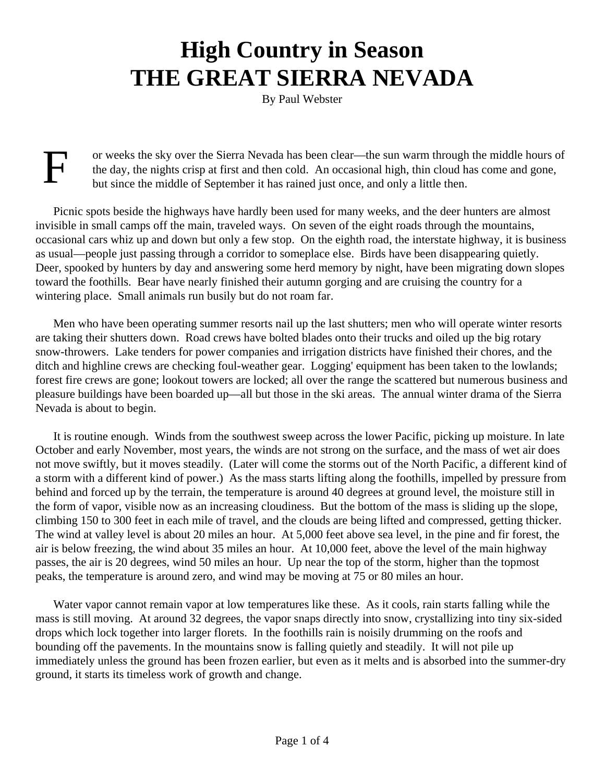## **High Country in Season THE GREAT SIERRA NEVADA**

By Paul Webster

F or weeks the sky over the Sierra Nevada has been clear—the sun warm through the middle hours of the day, the nights crisp at first and then cold. An occasional high, thin cloud has come and gone, but since the middle of September it has rained just once, and only a little then.

Picnic spots beside the highways have hardly been used for many weeks, and the deer hunters are almost invisible in small camps off the main, traveled ways. On seven of the eight roads through the mountains, occasional cars whiz up and down but only a few stop. On the eighth road, the interstate highway, it is business as usual—people just passing through a corridor to someplace else. Birds have been disappearing quietly. Deer, spooked by hunters by day and answering some herd memory by night, have been migrating down slopes toward the foothills. Bear have nearly finished their autumn gorging and are cruising the country for a wintering place. Small animals run busily but do not roam far.

Men who have been operating summer resorts nail up the last shutters; men who will operate winter resorts are taking their shutters down. Road crews have bolted blades onto their trucks and oiled up the big rotary snow-throwers. Lake tenders for power companies and irrigation districts have finished their chores, and the ditch and highline crews are checking foul-weather gear. Logging' equipment has been taken to the lowlands; forest fire crews are gone; lookout towers are locked; all over the range the scattered but numerous business and pleasure buildings have been boarded up—all but those in the ski areas. The annual winter drama of the Sierra Nevada is about to begin.

It is routine enough. Winds from the southwest sweep across the lower Pacific, picking up moisture. In late October and early November, most years, the winds are not strong on the surface, and the mass of wet air does not move swiftly, but it moves steadily. (Later will come the storms out of the North Pacific, a different kind of a storm with a different kind of power.) As the mass starts lifting along the foothills, impelled by pressure from behind and forced up by the terrain, the temperature is around 40 degrees at ground level, the moisture still in the form of vapor, visible now as an increasing cloudiness. But the bottom of the mass is sliding up the slope, climbing 150 to 300 feet in each mile of travel, and the clouds are being lifted and compressed, getting thicker. The wind at valley level is about 20 miles an hour. At 5,000 feet above sea level, in the pine and fir forest, the air is below freezing, the wind about 35 miles an hour. At 10,000 feet, above the level of the main highway passes, the air is 20 degrees, wind 50 miles an hour. Up near the top of the storm, higher than the topmost peaks, the temperature is around zero, and wind may be moving at 75 or 80 miles an hour.

Water vapor cannot remain vapor at low temperatures like these. As it cools, rain starts falling while the mass is still moving. At around 32 degrees, the vapor snaps directly into snow, crystallizing into tiny six-sided drops which lock together into larger florets. In the foothills rain is noisily drumming on the roofs and bounding off the pavements. In the mountains snow is falling quietly and steadily. It will not pile up immediately unless the ground has been frozen earlier, but even as it melts and is absorbed into the summer-dry ground, it starts its timeless work of growth and change.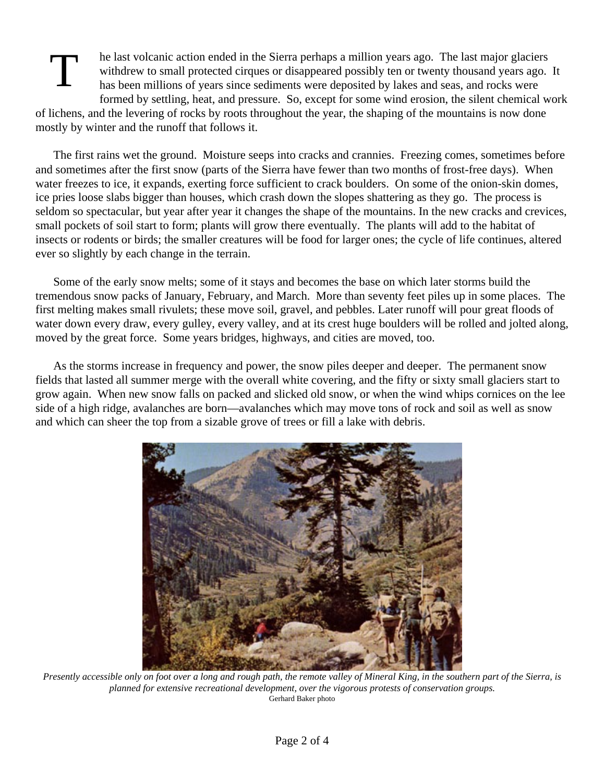T he last volcanic action ended in the Sierra perhaps a million years ago. The last major glaciers withdrew to small protected cirques or disappeared possibly ten or twenty thousand years ago. It has been millions of years since sediments were deposited by lakes and seas, and rocks were formed by settling, heat, and pressure. So, except for some wind erosion, the silent chemical work of lichens, and the levering of rocks by roots throughout the year, the shaping of the mountains is now done mostly by winter and the runoff that follows it.

The first rains wet the ground. Moisture seeps into cracks and crannies. Freezing comes, sometimes before and sometimes after the first snow (parts of the Sierra have fewer than two months of frost-free days). When water freezes to ice, it expands, exerting force sufficient to crack boulders. On some of the onion-skin domes, ice pries loose slabs bigger than houses, which crash down the slopes shattering as they go. The process is seldom so spectacular, but year after year it changes the shape of the mountains. In the new cracks and crevices, small pockets of soil start to form; plants will grow there eventually. The plants will add to the habitat of insects or rodents or birds; the smaller creatures will be food for larger ones; the cycle of life continues, altered ever so slightly by each change in the terrain.

Some of the early snow melts; some of it stays and becomes the base on which later storms build the tremendous snow packs of January, February, and March. More than seventy feet piles up in some places. The first melting makes small rivulets; these move soil, gravel, and pebbles. Later runoff will pour great floods of water down every draw, every gulley, every valley, and at its crest huge boulders will be rolled and jolted along, moved by the great force. Some years bridges, highways, and cities are moved, too.

As the storms increase in frequency and power, the snow piles deeper and deeper. The permanent snow fields that lasted all summer merge with the overall white covering, and the fifty or sixty small glaciers start to grow again. When new snow falls on packed and slicked old snow, or when the wind whips cornices on the lee side of a high ridge, avalanches are born—avalanches which may move tons of rock and soil as well as snow and which can sheer the top from a sizable grove of trees or fill a lake with debris.



*Presently accessible only on foot over a long and rough path, the remote valley of Mineral King, in the southern part of the Sierra, is planned for extensive recreational development, over the vigorous protests of conservation groups.* Gerhard Baker photo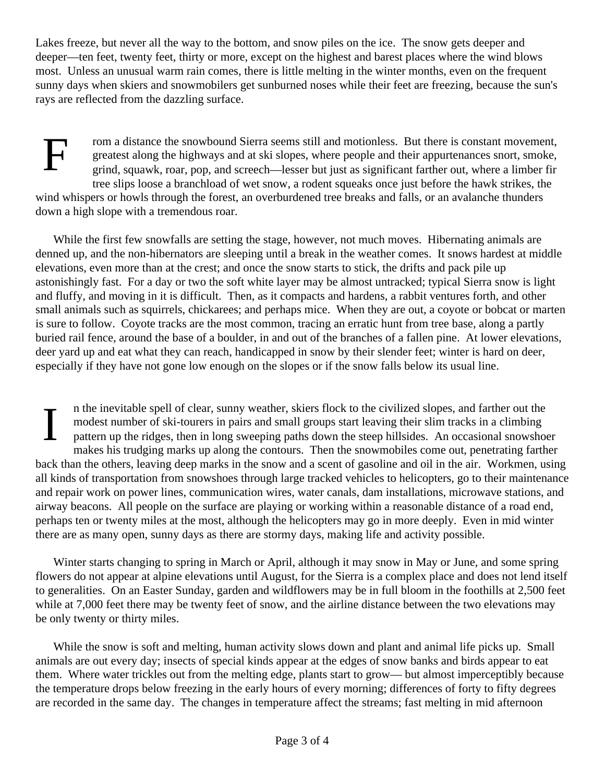Lakes freeze, but never all the way to the bottom, and snow piles on the ice. The snow gets deeper and deeper—ten feet, twenty feet, thirty or more, except on the highest and barest places where the wind blows most. Unless an unusual warm rain comes, there is little melting in the winter months, even on the frequent sunny days when skiers and snowmobilers get sunburned noses while their feet are freezing, because the sun's rays are reflected from the dazzling surface.

F rom a distance the snowbound Sierra seems still and motionless. But there is constant movement, greatest along the highways and at ski slopes, where people and their appurtenances snort, smoke, grind, squawk, roar, pop, and screech—lesser but just as significant farther out, where a limber fir tree slips loose a branchload of wet snow, a rodent squeaks once just before the hawk strikes, the wind whispers or howls through the forest, an overburdened tree breaks and falls, or an avalanche thunders down a high slope with a tremendous roar.

While the first few snowfalls are setting the stage, however, not much moves. Hibernating animals are denned up, and the non-hibernators are sleeping until a break in the weather comes. It snows hardest at middle elevations, even more than at the crest; and once the snow starts to stick, the drifts and pack pile up astonishingly fast. For a day or two the soft white layer may be almost untracked; typical Sierra snow is light and fluffy, and moving in it is difficult. Then, as it compacts and hardens, a rabbit ventures forth, and other small animals such as squirrels, chickarees; and perhaps mice. When they are out, a coyote or bobcat or marten is sure to follow. Coyote tracks are the most common, tracing an erratic hunt from tree base, along a partly buried rail fence, around the base of a boulder, in and out of the branches of a fallen pine. At lower elevations, deer yard up and eat what they can reach, handicapped in snow by their slender feet; winter is hard on deer, especially if they have not gone low enough on the slopes or if the snow falls below its usual line.

I n the inevitable spell of clear, sunny weather, skiers flock to the civilized slopes, and farther out the modest number of ski-tourers in pairs and small groups start leaving their slim tracks in a climbing pattern up the ridges, then in long sweeping paths down the steep hillsides. An occasional snowshoer makes his trudging marks up along the contours. Then the snowmobiles come out, penetrating farther back than the others, leaving deep marks in the snow and a scent of gasoline and oil in the air. Workmen, using all kinds of transportation from snowshoes through large tracked vehicles to helicopters, go to their maintenance and repair work on power lines, communication wires, water canals, dam installations, microwave stations, and airway beacons. All people on the surface are playing or working within a reasonable distance of a road end, perhaps ten or twenty miles at the most, although the helicopters may go in more deeply. Even in mid winter there are as many open, sunny days as there are stormy days, making life and activity possible.

Winter starts changing to spring in March or April, although it may snow in May or June, and some spring flowers do not appear at alpine elevations until August, for the Sierra is a complex place and does not lend itself to generalities. On an Easter Sunday, garden and wildflowers may be in full bloom in the foothills at 2,500 feet while at 7,000 feet there may be twenty feet of snow, and the airline distance between the two elevations may be only twenty or thirty miles.

While the snow is soft and melting, human activity slows down and plant and animal life picks up. Small animals are out every day; insects of special kinds appear at the edges of snow banks and birds appear to eat them. Where water trickles out from the melting edge, plants start to grow— but almost imperceptibly because the temperature drops below freezing in the early hours of every morning; differences of forty to fifty degrees are recorded in the same day. The changes in temperature affect the streams; fast melting in mid afternoon